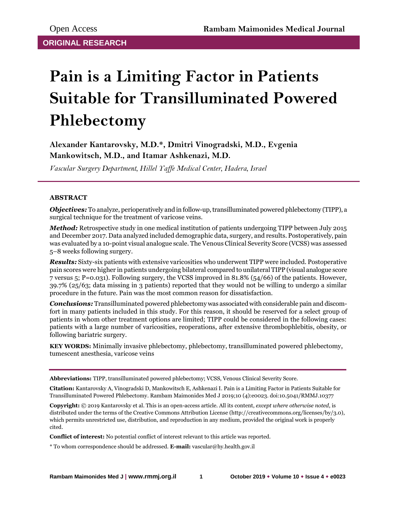# **Pain is a Limiting Factor in Patients Suitable for Transilluminated Powered Phlebectomy**

**Alexander Kantarovsky, M.D.\*, Dmitri Vinogradski, M.D., Evgenia Mankowitsch, M.D., and Itamar Ashkenazi, M.D.**

*Vascular Surgery Department, Hillel Yaffe Medical Center, Hadera, Israel*

## **ABSTRACT**

*Objectives:* To analyze, perioperatively and in follow-up, transilluminated powered phlebectomy (TIPP), a surgical technique for the treatment of varicose veins.

*Method:* Retrospective study in one medical institution of patients undergoing TIPP between July 2015 and December 2017. Data analyzed included demographic data, surgery, and results. Postoperatively, pain was evaluated by a 10-point visual analogue scale. The Venous Clinical Severity Score (VCSS) was assessed 5–8 weeks following surgery.

*Results:* Sixty-six patients with extensive varicosities who underwent TIPP were included. Postoperative pain scores were higher in patients undergoing bilateral compared to unilateral TIPP (visual analogue score 7 versus 5; P=0.031). Following surgery, the VCSS improved in 81.8% (54/66) of the patients. However, 39.7% (25/63; data missing in 3 patients) reported that they would not be willing to undergo a similar procedure in the future. Pain was the most common reason for dissatisfaction.

*Conclusions:* Transilluminated powered phlebectomy was associated with considerable pain and discomfort in many patients included in this study. For this reason, it should be reserved for a select group of patients in whom other treatment options are limited; TIPP could be considered in the following cases: patients with a large number of varicosities, reoperations, after extensive thrombophlebitis, obesity, or following bariatric surgery.

**KEY WORDS:** Minimally invasive phlebectomy, phlebectomy, transilluminated powered phlebectomy, tumescent anesthesia, varicose veins

**Abbreviations:** TIPP, transilluminated powered phlebectomy; VCSS, Venous Clinical Severity Score.

**Citation:** Kantarovsky A, Vinogradski D, Mankowitsch E, Ashkenazi I. Pain is a Limiting Factor in Patients Suitable for Transilluminated Powered Phlebectomy. Rambam Maimonides Med J 2019;10 (4):e0023. doi:10.5041/RMMJ.10377

**Copyright:** © 2019 Kantarovsky et al. This is an open-access article. All its content, *except where otherwise noted*, is distributed under the terms of the Creative Commons Attribution License (http://creativecommons.org/licenses/by/3.0), which permits unrestricted use, distribution, and reproduction in any medium, provided the original work is properly cited.

**Conflict of interest:** No potential conflict of interest relevant to this article was reported.

\* To whom correspondence should be addressed. **E-mail:** vascular@hy.health.gov.il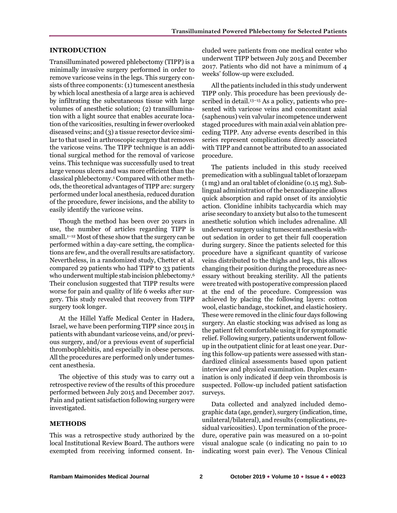## **INTRODUCTION**

Transilluminated powered phlebectomy (TIPP) is a minimally invasive surgery performed in order to remove varicose veins in the legs. This surgery consists of three components: (1) tumescent anesthesia by which local anesthesia of a large area is achieved by infiltrating the subcutaneous tissue with large volumes of anesthetic solution; (2) transillumination with a light source that enables accurate location of the varicosities, resulting in fewer overlooked diseased veins; and (3) a tissue resector device similar to that used in arthroscopic surgery that removes the varicose veins. The TIPP technique is an additional surgical method for the removal of varicose veins. This technique was successfully used to treat large venous ulcers and was more efficient than the classical phlebectomy.<sup>1</sup> Compared with other methods, the theoretical advantages of TIPP are: surgery performed under local anesthesia, reduced duration of the procedure, fewer incisions, and the ability to easily identify the varicose veins.

Though the method has been over 20 years in use, the number of articles regarding TIPP is small.<sup>1–12</sup> Most of these show that the surgery can be performed within a day-care setting, the complications are few, and the overall results are satisfactory. Nevertheless, in a randomized study, Chetter et al. compared 29 patients who had TIPP to 33 patients who underwent multiple stab incision phlebectomy.<sup>6</sup> Their conclusion suggested that TIPP results were worse for pain and quality of life 6 weeks after surgery. This study revealed that recovery from TIPP surgery took longer.

At the Hillel Yaffe Medical Center in Hadera, Israel, we have been performing TIPP since 2015 in patients with abundant varicose veins, and/or previous surgery, and/or a previous event of superficial thrombophlebitis, and especially in obese persons. All the procedures are performed only under tumescent anesthesia.

The objective of this study was to carry out a retrospective review of the results of this procedure performed between July 2015 and December 2017. Pain and patient satisfaction following surgery were investigated.

#### **METHODS**

This was a retrospective study authorized by the local Institutional Review Board. The authors were exempted from receiving informed consent. Included were patients from one medical center who underwent TIPP between July 2015 and December 2017. Patients who did not have a minimum of 4 weeks' follow-up were excluded.

All the patients included in this study underwent TIPP only. This procedure has been previously described in detail.<sup>13-15</sup> As a policy, patients who presented with varicose veins and concomitant axial (saphenous) vein valvular incompetence underwent staged procedures with main axial vein ablation preceding TIPP. Any adverse events described in this series represent complications directly associated with TIPP and cannot be attributed to an associated procedure.

The patients included in this study received premedication with a sublingual tablet of lorazepam (1 mg) and an oral tablet of clonidine (0.15 mg). Sublingual administration of the benzodiazepine allows quick absorption and rapid onset of its anxiolytic action. Clonidine inhibits tachycardia which may arise secondary to anxiety but also to the tumescent anesthetic solution which includes adrenaline. All underwent surgery using tumescent anesthesia without sedation in order to get their full cooperation during surgery. Since the patients selected for this procedure have a significant quantity of varicose veins distributed to the thighs and legs, this allows changing their position during the procedure as necessary without breaking sterility. All the patients were treated with postoperative compression placed at the end of the procedure. Compression was achieved by placing the following layers: cotton wool, elastic bandage, stockinet, and elastic hosiery. These were removed in the clinic four days following surgery. An elastic stocking was advised as long as the patient felt comfortable using it for symptomatic relief. Following surgery, patients underwent followup in the outpatient clinic for at least one year. During this follow-up patients were assessed with standardized clinical assessments based upon patient interview and physical examination. Duplex examination is only indicated if deep vein thrombosis is suspected. Follow-up included patient satisfaction surveys.

Data collected and analyzed included demographic data (age, gender), surgery (indication, time, unilateral/bilateral), and results (complications, residual varicosities). Upon termination of the procedure, operative pain was measured on a 10-point visual analogue scale (0 indicating no pain to 10 indicating worst pain ever). The Venous Clinical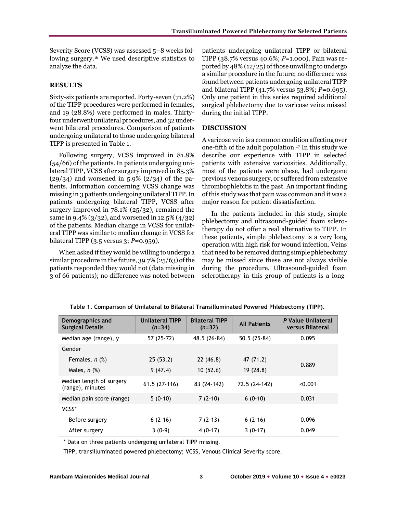Severity Score (VCSS) was assessed 5–8 weeks following surgery.<sup>16</sup> We used descriptive statistics to analyze the data.

### **RESULTS**

Sixty-six patients are reported. Forty-seven (71.2%) of the TIPP procedures were performed in females, and 19 (28.8%) were performed in males. Thirtyfour underwent unilateral procedures, and 32 underwent bilateral procedures. Comparison of patients undergoing unilateral to those undergoing bilateral TIPP is presented in Table 1.

Following surgery, VCSS improved in 81.8% (54/66) of the patients. In patients undergoing unilateral TIPP, VCSS after surgery improved in 85.3%  $(29/34)$  and worsened in 5.9%  $(2/34)$  of the patients. Information concerning VCSS change was missing in 3 patients undergoing unilateral TIPP. In patients undergoing bilateral TIPP, VCSS after surgery improved in 78.1% (25/32), remained the same in 9.4% (3/32), and worsened in 12.5% (4/32) of the patients. Median change in VCSS for unilateral TIPP was similar to median change in VCSS for bilateral TIPP (3.5 versus 3; *P*=0.959).

When asked if they would be willing to undergo a similar procedure in the future, 39.7% (25/63) of the patients responded they would not (data missing in 3 of 66 patients); no difference was noted between patients undergoing unilateral TIPP or bilateral TIPP (38.7% versus 40.6%; *P*=1.000). Pain was reported by 48% (12/25) of those unwilling to undergo a similar procedure in the future; no difference was found between patients undergoing unilateral TIPP and bilateral TIPP (41.7% versus 53.8%; *P*=0.695). Only one patient in this series required additional surgical phlebectomy due to varicose veins missed during the initial TIPP.

## **DISCUSSION**

A varicose vein is a common condition affecting over one-fifth of the adult population.<sup>17</sup> In this study we describe our experience with TIPP in selected patients with extensive varicosities. Additionally, most of the patients were obese, had undergone previous venous surgery, or suffered from extensive thrombophlebitis in the past. An important finding of this study was that pain was common and it was a major reason for patient dissatisfaction.

In the patients included in this study, simple phlebectomy and ultrasound-guided foam sclerotherapy do not offer a real alternative to TIPP. In these patients, simple phlebectomy is a very long operation with high risk for wound infection. Veins that need to be removed during simple phlebectomy may be missed since these are not always visible during the procedure. Ultrasound-guided foam sclerotherapy in this group of patients is a long-

| Demographics and<br><b>Surgical Details</b>  | <b>Unilateral TIPP</b><br>$(n=34)$ | <b>Bilateral TIPP</b><br>$(n=32)$ | <b>All Patients</b> | P Value Unilateral<br>versus Bilateral |  |
|----------------------------------------------|------------------------------------|-----------------------------------|---------------------|----------------------------------------|--|
| Median age (range), y                        | 57 (25-72)                         | 48.5 (26-84)                      | $50.5(25-84)$       | 0.095                                  |  |
| Gender                                       |                                    |                                   |                     |                                        |  |
| Females, $n$ $%$ )                           | 25(53.2)                           | 22(46.8)                          | 47 (71.2)           | 0.889                                  |  |
| Males, $n$ $(\%)$                            | 9(47.4)                            | 10(52.6)                          | 19(28.8)            |                                        |  |
| Median length of surgery<br>(range), minutes | $61.5(27-116)$                     | 83 (24-142)                       | 72.5 (24-142)       | < 0.001                                |  |
| Median pain score (range)                    | $5(0-10)$                          | $7(2-10)$                         | $6(0-10)$           | 0.031                                  |  |
| VCSS*                                        |                                    |                                   |                     |                                        |  |
| Before surgery                               | $6(2-16)$                          | $7(2-13)$                         | $6(2-16)$           | 0.096                                  |  |
| After surgery                                | $3(0-9)$                           | $4(0-17)$                         | $3(0-17)$           | 0.049                                  |  |

**Table 1. Comparison of Unilateral to Bilateral Transilluminated Powered Phlebectomy (TIPP).**

\* Data on three patients undergoing unilateral TIPP missing.

TIPP, transilluminated powered phlebectomy; VCSS, Venous Clinical Severity score.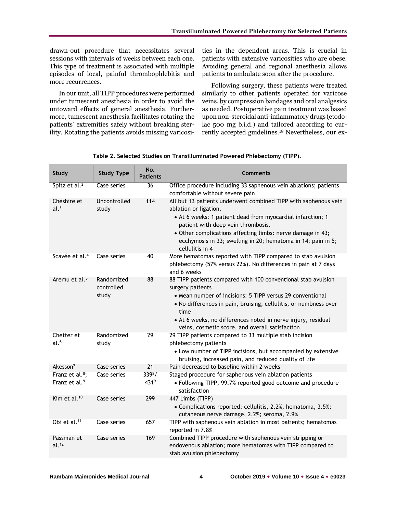drawn-out procedure that necessitates several sessions with intervals of weeks between each one. This type of treatment is associated with multiple episodes of local, painful thrombophlebitis and more recurrences.

In our unit, all TIPP procedures were performed under tumescent anesthesia in order to avoid the untoward effects of general anesthesia. Furthermore, tumescent anesthesia facilitates rotating the patients' extremities safely without breaking sterility. Rotating the patients avoids missing varicosities in the dependent areas. This is crucial in patients with extensive varicosities who are obese. Avoiding general and regional anesthesia allows patients to ambulate soon after the procedure.

Following surgery, these patients were treated similarly to other patients operated for varicose veins, by compression bandages and oral analgesics as needed. Postoperative pain treatment was based upon non-steroidal anti-inflammatory drugs (etodolac 500 mg b.i.d.) and tailored according to currently accepted guidelines.<sup>18</sup> Nevertheless, our ex-

| <b>Study</b>                                                                     | <b>Study Type</b>                 | No.<br><b>Patients</b> | <b>Comments</b>                                                                                                                                                                                                                                                                                                                               |  |
|----------------------------------------------------------------------------------|-----------------------------------|------------------------|-----------------------------------------------------------------------------------------------------------------------------------------------------------------------------------------------------------------------------------------------------------------------------------------------------------------------------------------------|--|
| Spitz et al. <sup>2</sup>                                                        | Case series                       | 36                     | Office procedure including 33 saphenous vein ablations; patients<br>comfortable without severe pain                                                                                                                                                                                                                                           |  |
| Cheshire et<br>al. <sup>3</sup>                                                  | Uncontrolled<br>study             | 114                    | All but 13 patients underwent combined TIPP with saphenous vein<br>ablation or ligation.<br>• At 6 weeks: 1 patient dead from myocardial infarction; 1<br>patient with deep vein thrombosis.<br>• Other complications affecting limbs: nerve damage in 43;<br>ecchymosis in 33; swelling in 20; hematoma in 14; pain in 5;<br>cellulitis in 4 |  |
| Scavée et al. <sup>4</sup>                                                       | Case series                       | 40                     | More hematomas reported with TIPP compared to stab avulsion<br>phlebectomy (57% versus 22%). No differences in pain at 7 days<br>and 6 weeks                                                                                                                                                                                                  |  |
| Aremu et al. <sup>5</sup>                                                        | Randomized<br>controlled<br>study | 88                     | 88 TIPP patients compared with 100 conventional stab avulsion<br>surgery patients<br>• Mean number of incisions: 5 TIPP versus 29 conventional<br>• No differences in pain, bruising, cellulitis, or numbness over<br>time<br>• At 6 weeks, no differences noted in nerve injury, residual<br>veins, cosmetic score, and overall satisfaction |  |
| Chetter et<br>al. <sup>6</sup>                                                   | Randomized<br>study               | 29                     | 29 TIPP patients compared to 33 multiple stab incision<br>phlebectomy patients<br>• Low number of TIPP incisions, but accompanied by extensive<br>bruising, increased pain, and reduced quality of life                                                                                                                                       |  |
| Akesson <sup>7</sup><br>Franz et al. <sup>8</sup> ;<br>Franz et al. <sup>9</sup> | Case series<br>Case series        | 21<br>3398/<br>4319    | Pain decreased to baseline within 2 weeks<br>Staged procedure for saphenous vein ablation patients<br>• Following TIPP, 99.7% reported good outcome and procedure<br>satisfaction                                                                                                                                                             |  |
| Kim et al. <sup>10</sup>                                                         | Case series                       | 299                    | 447 Limbs (TIPP)<br>• Complications reported: cellulitis, 2.2%; hematoma, 3.5%;<br>cutaneous nerve damage, 2.2%; seroma, 2.9%                                                                                                                                                                                                                 |  |
| Obi et al. <sup>11</sup>                                                         | Case series                       | 657                    | TIPP with saphenous vein ablation in most patients; hematomas<br>reported in 7.8%                                                                                                                                                                                                                                                             |  |
| Passman et<br>al. <sup>12</sup>                                                  | Case series                       | 169                    | Combined TIPP procedure with saphenous vein stripping or<br>endovenous ablation; more hematomas with TIPP compared to<br>stab avulsion phlebectomy                                                                                                                                                                                            |  |

**Table 2. Selected Studies on Transilluminated Powered Phlebectomy (TIPP).**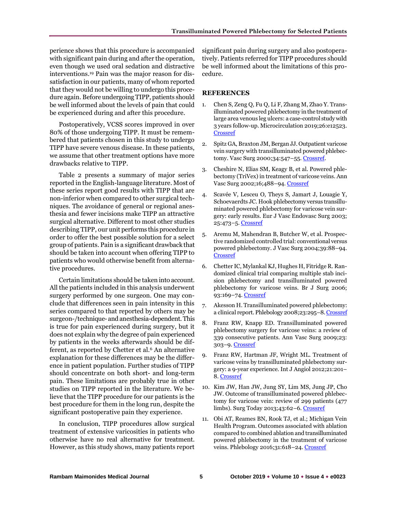perience shows that this procedure is accompanied with significant pain during and after the operation, even though we used oral sedation and distractive interventions.<sup>19</sup> Pain was the major reason for dissatisfaction in our patients, many of whom reported that they would not be willing to undergo this procedure again. Before undergoing TIPP, patients should be well informed about the levels of pain that could be experienced during and after this procedure.

Postoperatively, VCSS scores improved in over 80% of those undergoing TIPP. It must be remembered that patients chosen in this study to undergo TIPP have severe venous disease. In these patients, we assume that other treatment options have more drawbacks relative to TIPP.

Table 2 presents a summary of major series reported in the English-language literature. Most of these series report good results with TIPP that are non-inferior when compared to other surgical techniques. The avoidance of general or regional anesthesia and fewer incisions make TIPP an attractive surgical alternative. Different to most other studies describing TIPP, our unit performs this procedure in order to offer the best possible solution for a select group of patients. Pain is a significant drawback that should be taken into account when offering TIPP to patients who would otherwise benefit from alternative procedures.

Certain limitations should be taken into account. All the patients included in this analysis underwent surgery performed by one surgeon. One may conclude that differences seen in pain intensity in this series compared to that reported by others may be surgeon-/technique- and anesthesia-dependent. This is true for pain experienced during surgery, but it does not explain why the degree of pain experienced by patients in the weeks afterwards should be different, as reported by Chetter et al.<sup>6</sup> An alternative explanation for these differences may be the difference in patient population. Further studies of TIPP should concentrate on both short- and long-term pain. These limitations are probably true in other studies on TIPP reported in the literature. We believe that the TIPP procedure for our patients is the best procedure for them in the long run, despite the significant postoperative pain they experience.

In conclusion, TIPP procedures allow surgical treatment of extensive varicosities in patients who otherwise have no real alternative for treatment. However, as this study shows, many patients report

significant pain during surgery and also postoperatively. Patients referred for TIPP procedures should be well informed about the limitations of this procedure.

## **REFERENCES**

- 1. Chen S, Zeng Q, Fu Q, Li F, Zhang M, Zhao Y. Transilluminated powered phlebectomy in the treatment of large area venous leg ulcers: a case-control study with 3 years follow-up. Microcirculation 2019;26:e12523. [Crossref](https://doi.org/10.1111/micc.12523)
- 2. Spitz GA, Braxton JM, Bergan JJ. Outpatient varicose vein surgery with transilluminated powered phlebec-tomy. Vasc Surg 2000;34:547-55[. Crossref.](https://doi.org/10.1308%2F003588407X168271)
- 3. Cheshire N, Elias SM, Keagy B, et al. Powered phlebectomy (TriVex) in treatment of varicose veins. Ann Vasc Surg 2002;16;488–94. [Crossref](https://doi.org/10.1007/s10016-001-0100-1)
- 4. Scavée V, Lesceu O, Theys S, Jamart J, Louagie Y, Schoevaerdts JC. Hook phlebectomy versus transilluminated powered phlebectomy for varicose vein surgery: early results. Eur J Vasc Endovasc Surg 2003; 25:473–5. [Crossref](https://doi.org/10.1053/ejvs.2002.1908)
- 5. Aremu M, Mahendran B, Butcher W, et al. Prospective randomized controlled trial: conventional versus powered phlebectomy. J Vasc Surg 2004;39:88–94. [Crossref](https://doi.org/10.1016/j.jvs.2003.09.044)
- 6. Chetter IC, Mylankal KJ, Hughes H, Fitridge R. Randomized clinical trial comparing multiple stab incision phlebectomy and transilluminated powered phlebectomy for varicose veins. Br J Surg 2006; 93:169–74[. Crossref](https://doi.org/10.1002/bjs.5261)
- 7. Akesson H. Transilluminated powered phlebectomy: a clinical report. Phlebology 2008;23:295–8[. Crossref](https://doi.org/10.1258/phleb.2008.008003)
- 8. Franz RW, Knapp ED. Transilluminated powered phlebectomy surgery for varicose veins: a review of 339 consecutive patients. Ann Vasc Surg 2009;23: 303–9[. Crossref](https://doi.org/10.1016/j.avsg.2008.07.005)
- 9. Franz RW, Hartman JF, Wright ML. Treatment of varicose veins by transilluminated phlebectomy surgery: a 9-year experience. Int J Angiol 2012;21:201– 8[. Crossref](https://doi.org/10.1055/s-0032-1330229)
- 10. Kim JW, Han JW, Jung SY, Lim MS, Jung JP, Cho JW. Outcome of transilluminated powered phlebectomy for varicose vein: review of 299 patients (477 limbs). Surg Today 2013;43:62–6[. Crossref](https://doi.org/10.1007/s00595-012-0146-4)
- 11. Obi AT, Reames BN, Rook TJ, et al.; Michigan Vein Health Program. Outcomes associated with ablation compared to combined ablation and transilluminated powered phlebectomy in the treatment of varicose veins. Phlebology 2016;31:618-24. [Crossref](https://doi.org/10.1177/0268355515604257)